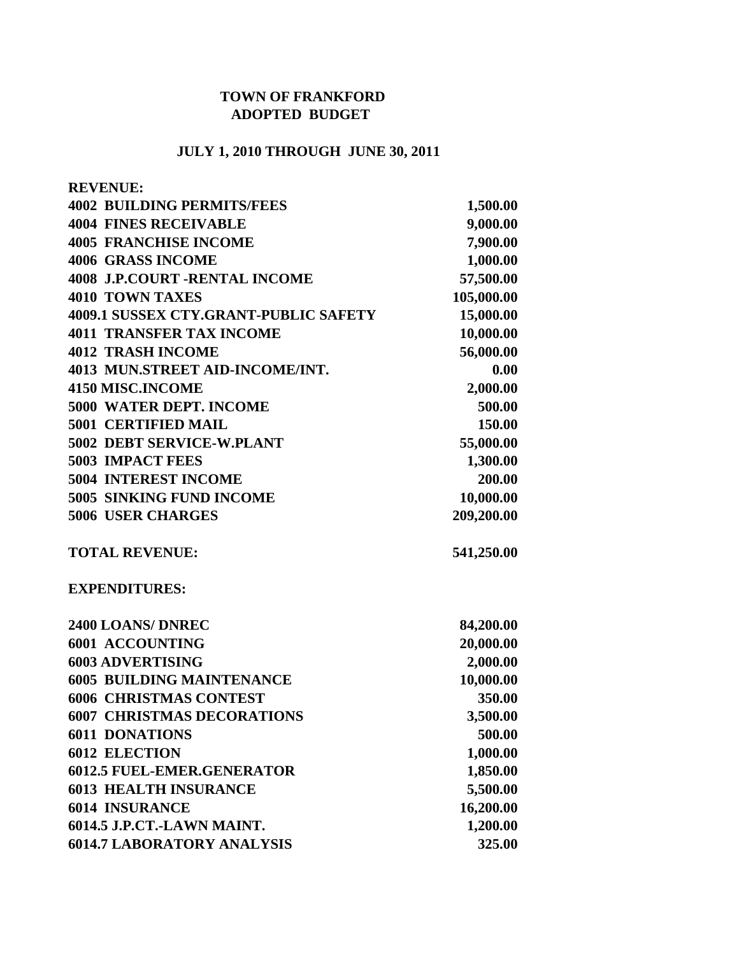## **TOWN OF FRANKFORD ADOPTED BUDGET**

## **JULY 1, 2010 THROUGH JUNE 30, 2011**

| <b>REVENUE:</b>                       |            |
|---------------------------------------|------------|
| <b>4002 BUILDING PERMITS/FEES</b>     | 1,500.00   |
| <b>4004 FINES RECEIVABLE</b>          | 9,000.00   |
| <b>4005 FRANCHISE INCOME</b>          | 7,900.00   |
| <b>4006 GRASS INCOME</b>              | 1,000.00   |
| <b>4008 J.P.COURT -RENTAL INCOME</b>  | 57,500.00  |
| <b>4010 TOWN TAXES</b>                | 105,000.00 |
| 4009.1 SUSSEX CTY.GRANT-PUBLIC SAFETY | 15,000.00  |
| <b>4011 TRANSFER TAX INCOME</b>       | 10,000.00  |
| <b>4012 TRASH INCOME</b>              | 56,000.00  |
| 4013 MUN.STREET AID-INCOME/INT.       | 0.00       |
| <b>4150 MISC.INCOME</b>               | 2,000.00   |
| <b>5000 WATER DEPT. INCOME</b>        | 500.00     |
| <b>5001 CERTIFIED MAIL</b>            | 150.00     |
| 5002 DEBT SERVICE-W.PLANT             | 55,000.00  |
| <b>5003 IMPACT FEES</b>               | 1,300.00   |
| <b>5004 INTEREST INCOME</b>           | 200.00     |
| 5005 SINKING FUND INCOME              | 10,000.00  |
| <b>5006 USER CHARGES</b>              | 209,200.00 |
| <b>TOTAL REVENUE:</b>                 | 541,250.00 |
| <b>EXPENDITURES:</b>                  |            |
| 2400 LOANS/ DNREC                     | 84,200.00  |
| <b>6001 ACCOUNTING</b>                | 20,000.00  |
| <b>6003 ADVERTISING</b>               | 2,000.00   |
| <b>6005 BUILDING MAINTENANCE</b>      | 10,000.00  |
| <b>6006 CHRISTMAS CONTEST</b>         | 350.00     |
| <b>6007 CHRISTMAS DECORATIONS</b>     | 3,500.00   |
| <b>6011 DONATIONS</b>                 | 500.00     |
| <b>6012 ELECTION</b>                  | 1,000.00   |
| <b>6012.5 FUEL-EMER.GENERATOR</b>     | 1,850.00   |
| <b>6013 HEALTH INSURANCE</b>          | 5,500.00   |
| <b>6014 INSURANCE</b>                 | 16,200.00  |
| 6014.5 J.P.CT.-LAWN MAINT.            | 1,200.00   |
| <b>6014.7 LABORATORY ANALYSIS</b>     | 325.00     |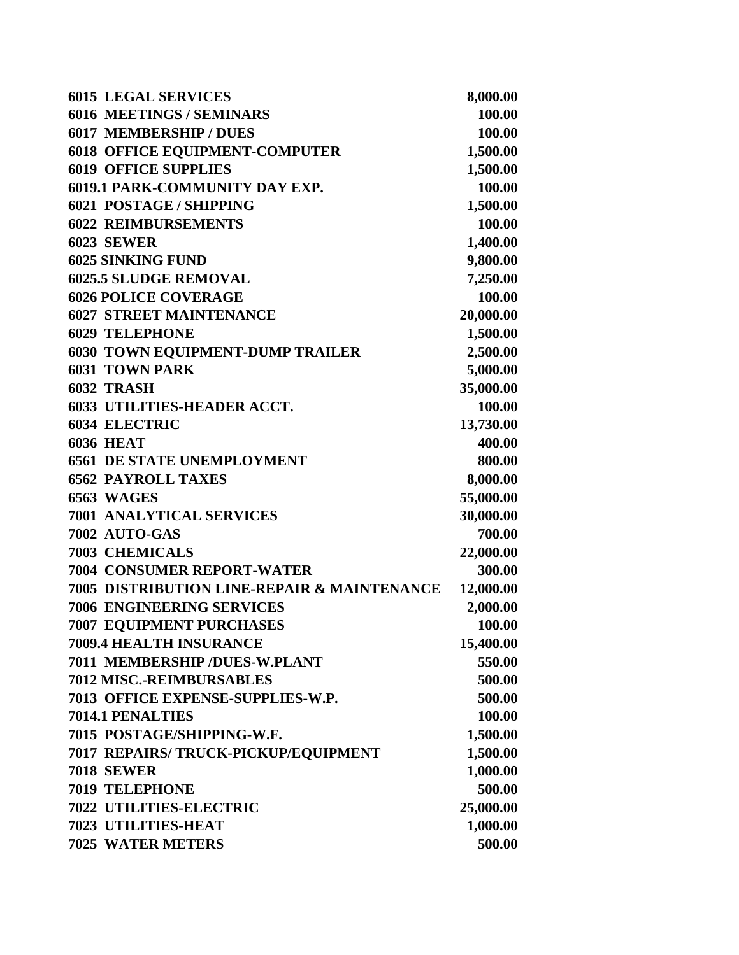| <b>6015 LEGAL SERVICES</b>                  | 8,000.00  |
|---------------------------------------------|-----------|
| <b>6016 MEETINGS / SEMINARS</b>             | 100.00    |
| <b>6017 MEMBERSHIP / DUES</b>               | 100.00    |
| <b>6018 OFFICE EQUIPMENT-COMPUTER</b>       | 1,500.00  |
| <b>6019 OFFICE SUPPLIES</b>                 | 1,500.00  |
| 6019.1 PARK-COMMUNITY DAY EXP.              | 100.00    |
| <b>6021 POSTAGE / SHIPPING</b>              | 1,500.00  |
| <b>6022 REIMBURSEMENTS</b>                  | 100.00    |
| <b>6023 SEWER</b>                           | 1,400.00  |
| <b>6025 SINKING FUND</b>                    | 9,800.00  |
| <b>6025.5 SLUDGE REMOVAL</b>                | 7,250.00  |
| <b>6026 POLICE COVERAGE</b>                 | 100.00    |
| <b>6027 STREET MAINTENANCE</b>              | 20,000.00 |
| <b>6029 TELEPHONE</b>                       | 1,500.00  |
| <b>6030 TOWN EQUIPMENT-DUMP TRAILER</b>     | 2,500.00  |
| <b>6031 TOWN PARK</b>                       | 5,000.00  |
| 6032 TRASH                                  | 35,000.00 |
| <b>6033 UTILITIES-HEADER ACCT.</b>          | 100.00    |
| <b>6034 ELECTRIC</b>                        | 13,730.00 |
| <b>6036 HEAT</b>                            | 400.00    |
| <b>6561 DE STATE UNEMPLOYMENT</b>           | 800.00    |
| <b>6562 PAYROLL TAXES</b>                   | 8,000.00  |
| 6563 WAGES                                  | 55,000.00 |
| <b>7001 ANALYTICAL SERVICES</b>             | 30,000.00 |
| 7002 AUTO-GAS                               | 700.00    |
| <b>7003 CHEMICALS</b>                       | 22,000.00 |
| <b>7004 CONSUMER REPORT-WATER</b>           | 300.00    |
| 7005 DISTRIBUTION LINE-REPAIR & MAINTENANCE | 12,000.00 |
| <b>7006 ENGINEERING SERVICES</b>            | 2,000.00  |
| <b>7007 EQUIPMENT PURCHASES</b>             | 100.00    |
| 7009.4 HEALTH INSURANCE                     | 15,400.00 |
| 7011 MEMBERSHIP /DUES-W.PLANT               | 550.00    |
| 7012 MISC.-REIMBURSABLES                    | 500.00    |
| 7013 OFFICE EXPENSE-SUPPLIES-W.P.           | 500.00    |
| 7014.1 PENALTIES                            | 100.00    |
| 7015 POSTAGE/SHIPPING-W.F.                  | 1,500.00  |
| 7017 REPAIRS/ TRUCK-PICKUP/EQUIPMENT        | 1,500.00  |
| <b>7018 SEWER</b>                           | 1,000.00  |
| <b>7019 TELEPHONE</b>                       | 500.00    |
| 7022 UTILITIES-ELECTRIC                     | 25,000.00 |
| 7023 UTILITIES-HEAT                         | 1,000.00  |
| <b>7025 WATER METERS</b>                    | 500.00    |